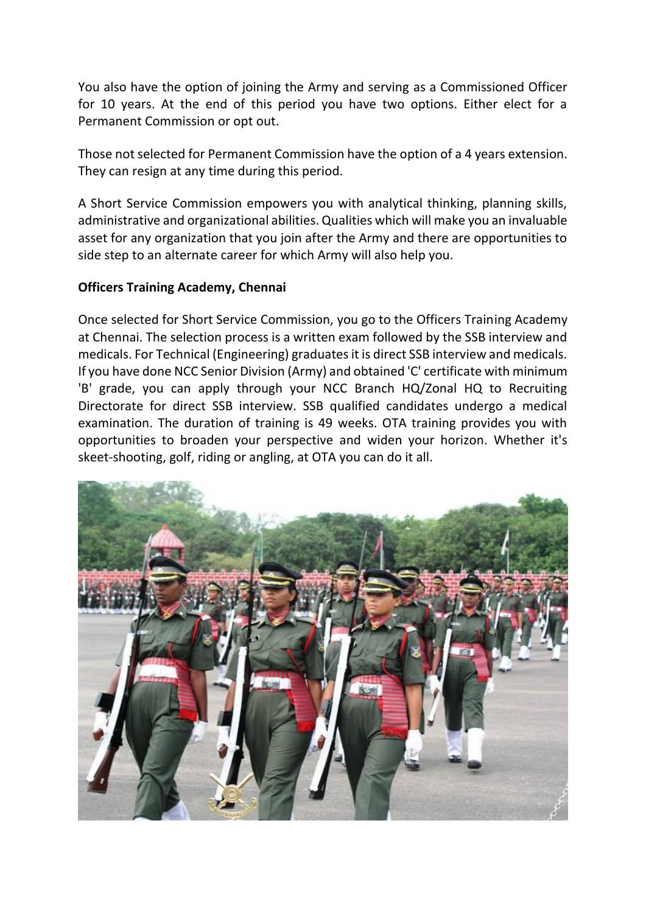You also have the option of joining the Army and serving as a Commissioned Officer for 10 years. At the end of this period you have two options. Either elect for a Permanent Commission or opt out.

Those not selected for Permanent Commission have the option of a 4 years extension. They can resign at any time during this period.

A Short Service Commission empowers you with analytical thinking, planning skills, administrative and organizational abilities. Qualities which will make you an invaluable asset for any organization that you join after the Army and there are opportunities to side step to an alternate career for which Army will also help you.

## **Officers Training Academy, Chennai**

Once selected for Short Service Commission, you go to the Officers Training Academy at Chennai. The selection process is a written exam followed by the SSB interview and medicals. For Technical (Engineering) graduates it is direct SSB interview and medicals. If you have done NCC Senior Division (Army) and obtained 'C' certificate with minimum 'B' grade, you can apply through your NCC Branch HQ/Zonal HQ to Recruiting Directorate for direct SSB interview. SSB qualified candidates undergo a medical examination. The duration of training is 49 weeks. OTA training provides you with opportunities to broaden your perspective and widen your horizon. Whether it's skeet-shooting, golf, riding or angling, at OTA you can do it all.